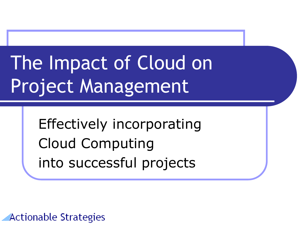# The Impact of Cloud on Project Management

Effectively incorporating Cloud Computing into successful projects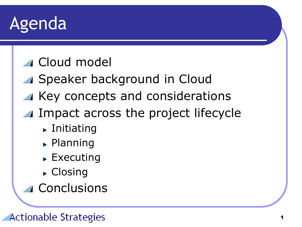### Agenda

### Cloud model

- Speaker background in Cloud
- Key concepts and considerations
- **IMPACTE ACTOSS the project lifecycle** 
	- $\blacktriangleright$  Initiating
	- $\blacktriangleright$  Planning
	- $\blacktriangleright$  Executing
	- ▶ Closing
- **Conclusions**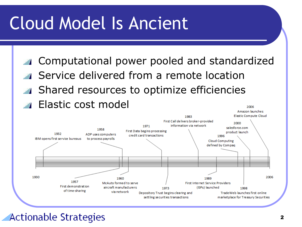### Cloud Model Is Ancient

- Computational power pooled and standardized
- Service delivered from a remote location **Shared resources to optimize efficiencies**
- **Elastic cost model**



### Actionable Strategies

2006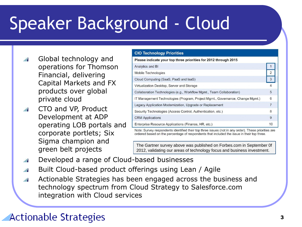## Speaker Background - Cloud

- Global technology and  $\sqrt{2}$ operations for Thomson Financial, delivering Capital Markets and FX products over global private cloud
- CTO and VP, Product  $\frac{d}{dt}$ Development at ADP operating LOB portals and corporate portlets; Six Sigma champion and green belt projects

#### **CIO Technology Priorities** Please indicate your top three priorities for 2012 through 2015 Analytics and BI 2 Mobile Technologies  $\overline{3}$ Cloud Computing (SaaS, PaaS and laaS) Virtualization Desktop, Server and Storage Collaboration Technologies (e.g., Workflow Mgmt., Team Collaboration) 5 IT Management Technologies (Program, Project Mgmt., Governance, Change Mgmt.) 6 Legacy Application Modernization, Upgrade or Replacement  $\overline{7}$ Security Technologies (Access Control, Authentication, etc.) 8 **CRM** Applications 9 Enterprise Resource Applications (Finance, HR, etc.)  $10$

Note: Survey respondents identified their top three issues (not in any order). These priorities are ordered based on the percentage of respondents that included the issue in their top three.

The Gartner survey above was published on Forbes.com in September 0f 2012, validating our areas of technology focus and business investment.

- Developed a range of Cloud-based businesses  $\frac{d}{dt}$
- Built Cloud-based product offerings using Lean / Agile  $\frac{d}{dt}$
- Actionable Strategies has been engaged across the business and  $\frac{d}{dt}$ technology spectrum from Cloud Strategy to Salesforce.com integration with Cloud services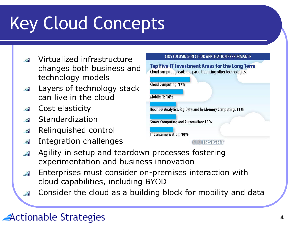## Key Cloud Concepts

- Virtualized infrastructure changes both business and technology models
- Layers of technology stack can live in the cloud
- Cost elasticity
- Standardization
- Relinquished control
- Integration challenges  $\frac{d}{dx}$
- Agility in setup and teardown processes fostering  $\overline{\phantom{a}}$ experimentation and business innovation
- Enterprises must consider on-premises interaction with cloud capabilities, including BYOD
- Consider the cloud as a building block for mobility and data

### Actionable Strategies



CIOS FOCUSING ON CLOUD APPLICATION PERFORMANCE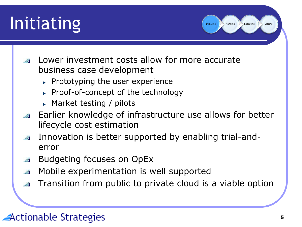### Initiating

- Lower investment costs allow for more accurate business case development
	- $\triangleright$  Prototyping the user experience
	- ► Proof-of-concept of the technology
	- ► Market testing / pilots
- **Earlier knowledge of infrastructure use allows for better** lifecycle cost estimation
- Innovation is better supported by enabling trial-anderror
- Budgeting focuses on OpEx
- Mobile experimentation is well supported
- Transition from public to private cloud is a viable option

### Actionable Strategies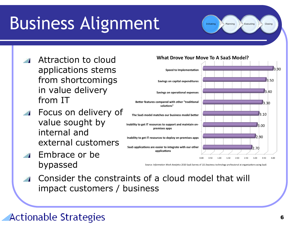## Business Alignment

Initiating Planning Executing Closing

- Attraction to cloud applications stems from shortcomings in value delivery from IT
- Focus on delivery of value sought by internal and external customers
- k on **Speed to Implementation**  $3.50$ Savings on capital expenditures 3.40 Savings on operational expenses Better features compared with other "traditional  $3.30$ solutions"  $3.10$ The SaaS model matches our business model better Inability to get IT resources to support and maintain on- $3.00$ premises apps  $2.90$ Inability to get IT resources to deploy on-premises apps SaaS applications are easier to integrate with our other 2.70 applications 3.00 3.50

Embrace or be bypassed

Source: Information Week Analytics 2010 SaaS Survey of 131 business technology professional at organizations using SaaS

Consider the constraints of a cloud model that will impact customers / business

#### What Drove Your Move To A SaaS Model?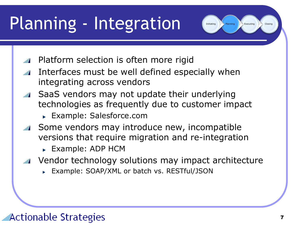## Planning - Integration

Initiating Planning Executing Closing

- Platform selection is often more rigid
- Interfaces must be well defined especially when integrating across vendors
- SaaS vendors may not update their underlying technologies as frequently due to customer impact
	- Example: Salesforce.com
- Some vendors may introduce new, incompatible versions that require migration and re-integration
	- **Example: ADP HCM**
- Vendor technology solutions may impact architecture
	- Example: SOAP/XML or batch vs. RESTful/JSON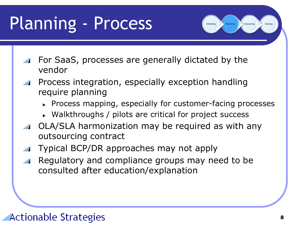## Planning - Process

- For SaaS, processes are generally dictated by the vendor
- Process integration, especially exception handling require planning
	- **Process mapping, especially for customer-facing processes**
	- ► Walkthroughs / pilots are critical for project success
- OLA/SLA harmonization may be required as with any outsourcing contract
- Typical BCP/DR approaches may not apply
- Regulatory and compliance groups may need to be consulted after education/explanation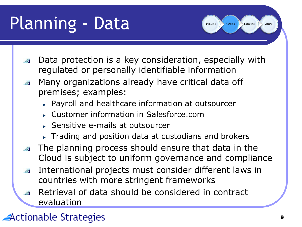## Planning - Data

Initiating Planning Executing Closing

- Data protection is a key consideration, especially with regulated or personally identifiable information
- Many organizations already have critical data off premises; examples:
	- Payroll and healthcare information at outsourcer
	- Customer information in Salesforce.com
	- Sensitive e-mails at outsourcer
	- **Trading and position data at custodians and brokers**
- The planning process should ensure that data in the Cloud is subject to uniform governance and compliance
- International projects must consider different laws in countries with more stringent frameworks
- Retrieval of data should be considered in contract evaluation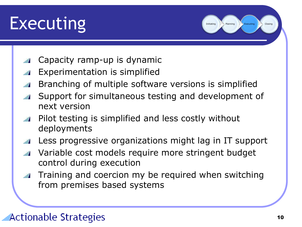

Capacity ramp-up is dynamic

- Experimentation is simplified
- Branching of multiple software versions is simplified
- Support for simultaneous testing and development of next version
- Pilot testing is simplified and less costly without deployments
- Less progressive organizations might lag in IT support
- Variable cost models require more stringent budget  $\frac{1}{2}$ control during execution
- Training and coercion my be required when switching from premises based systems

### Actionable Strategies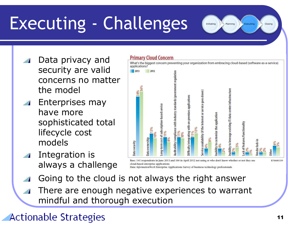## Executing - Challenges

Initiating Planning Executing Closing

- Data privacy and security are valid concerns no matter the model
- Enterprises may have more sophisticated total lifecycle cost models
- Integration is always a challenge



Data: InformationWeek Enterprise Applications Survey of business technology professionals

- Going to the cloud is not always the right answer
- There are enough negative experiences to warrant mindful and thorough execution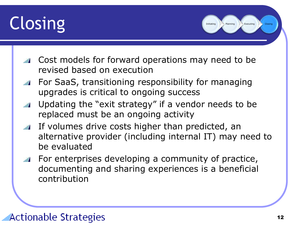## Closing

- **Cost models for forward operations may need to be** revised based on execution
- For SaaS, transitioning responsibility for managing upgrades is critical to ongoing success
- Updating the "exit strategy" if a vendor needs to be replaced must be an ongoing activity
- **If volumes drive costs higher than predicted, an** alternative provider (including internal IT) may need to be evaluated
- For enterprises developing a community of practice, **All Property** documenting and sharing experiences is a beneficial contribution